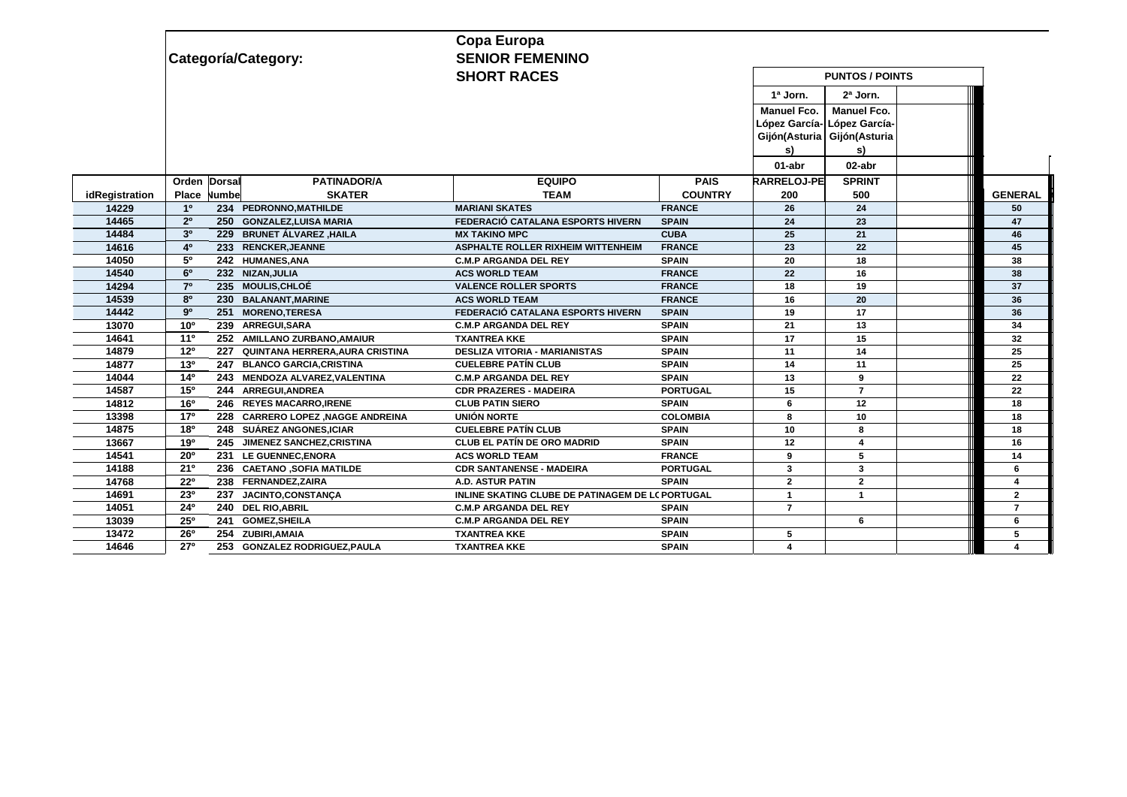|                | Categoría/Category:                                    | <b>SENIOR FEMENINO</b><br><b>SHORT RACES</b>     |                 |                                                                          |                                           |                |
|----------------|--------------------------------------------------------|--------------------------------------------------|-----------------|--------------------------------------------------------------------------|-------------------------------------------|----------------|
|                |                                                        |                                                  |                 | 1ª Jorn.                                                                 | $2a$ Jorn.                                |                |
|                |                                                        |                                                  |                 | <b>Manuel Fco.</b><br>López García-<br>Gijón(Asturia Gijón(Asturia<br>s) | <b>Manuel Fco.</b><br>López García-<br>s) |                |
|                |                                                        |                                                  |                 | 01-abr                                                                   | 02-abr                                    |                |
|                | Orden Dorsal<br><b>PATINADOR/A</b>                     | <b>EQUIPO</b>                                    | <b>PAIS</b>     | <b>RARRELOJ-PE</b>                                                       | <b>SPRINT</b>                             |                |
| idRegistration | <b>SKATER</b><br>Numbe<br>Place                        | <b>TEAM</b>                                      | <b>COUNTRY</b>  | 200                                                                      | 500                                       | <b>GENERAL</b> |
| 14229          | 1 <sup>0</sup><br>234 PEDRONNO, MATHILDE               | <b>MARIANI SKATES</b>                            | <b>FRANCE</b>   | 26                                                                       | 24                                        | 50             |
| 14465          | 2 <sup>0</sup><br>250 GONZALEZ, LUISA MARIA            | FEDERACIÓ CATALANA ESPORTS HIVERN                | <b>SPAIN</b>    | 24                                                                       | 23                                        | 47             |
| 14484          | 3 <sup>0</sup><br>229 BRUNET ÁLVAREZ, HAILA            | <b>MX TAKINO MPC</b>                             | <b>CUBA</b>     | 25                                                                       | 21                                        | 46             |
| 14616          | 4 <sup>0</sup><br>233 RENCKER, JEANNE                  | <b>ASPHALTE ROLLER RIXHEIM WITTENHEIM</b>        | <b>FRANCE</b>   | 23                                                                       | 22                                        | 45             |
| 14050          | $5^{\circ}$<br>242 HUMANES, ANA                        | <b>C.M.P ARGANDA DEL REY</b>                     | <b>SPAIN</b>    | 20                                                                       | 18                                        | 38             |
| 14540          | $6^{\circ}$<br>232 NIZAN, JULIA                        | <b>ACS WORLD TEAM</b>                            | <b>FRANCE</b>   | 22                                                                       | 16                                        | 38             |
| 14294          | 7 <sup>0</sup><br>235 MOULIS, CHLOÉ                    | <b>VALENCE ROLLER SPORTS</b>                     | <b>FRANCE</b>   | 18                                                                       | 19                                        | 37             |
| 14539          | 8 <sup>0</sup><br>230 BALANANT, MARINE                 | <b>ACS WORLD TEAM</b>                            | <b>FRANCE</b>   | 16                                                                       | 20                                        | 36             |
| 14442          | 9 <sup>o</sup><br>251 MORENO, TERESA                   | FEDERACIÓ CATALANA ESPORTS HIVERN                | <b>SPAIN</b>    | 19                                                                       | 17                                        | 36             |
| 13070          | 10 <sup>o</sup><br>239 ARREGUI, SARA                   | <b>C.M.P ARGANDA DEL REY</b>                     | <b>SPAIN</b>    | 21                                                                       | 13                                        | 34             |
| 14641          | $11^{\circ}$<br>252 AMILLANO ZURBANO, AMAIUR           | <b>TXANTREA KKE</b>                              | <b>SPAIN</b>    | 17                                                                       | 15                                        | 32             |
| 14879          | 12 <sup>0</sup><br>227 QUINTANA HERRERA, AURA CRISTINA | <b>DESLIZA VITORIA - MARIANISTAS</b>             | <b>SPAIN</b>    | 11                                                                       | 14                                        | 25             |
| 14877          | $13^{o}$<br>247 BLANCO GARCIA, CRISTINA                | <b>CUELEBRE PATÍN CLUB</b>                       | <b>SPAIN</b>    | 14                                                                       | 11                                        | 25             |
| 14044          | $14^{o}$<br>243 MENDOZA ALVAREZ, VALENTINA             | <b>C.M.P ARGANDA DEL REY</b>                     | <b>SPAIN</b>    | 13                                                                       | 9                                         | 22             |
| 14587          | 15 <sup>o</sup><br>244 ARREGUI.ANDREA                  | <b>CDR PRAZERES - MADEIRA</b>                    | <b>PORTUGAL</b> | 15                                                                       | $\overline{7}$                            | 22             |
| 14812          | 16 <sup>o</sup><br>246 REYES MACARRO, IRENE            | <b>CLUB PATIN SIERO</b>                          | <b>SPAIN</b>    | 6                                                                        | 12                                        | 18             |
| 13398          | $17^{\circ}$<br>228 CARRERO LOPEZ , NAGGE ANDREINA     | UNIÓN NORTE                                      | <b>COLOMBIA</b> | 8                                                                        | 10                                        | 18             |
| 14875          | 18 <sup>0</sup><br>248 SUÁREZ ANGONES, ICIAR           | <b>CUELEBRE PATÍN CLUB</b>                       | <b>SPAIN</b>    | 10                                                                       | 8                                         | 18             |
| 13667          | 190<br>245 JIMENEZ SANCHEZ.CRISTINA                    | <b>CLUB EL PATÍN DE ORO MADRID</b>               | <b>SPAIN</b>    | 12                                                                       | 4                                         | 16             |
| 14541          | $20^{\circ}$<br>231 LE GUENNEC, ENORA                  | <b>ACS WORLD TEAM</b>                            | <b>FRANCE</b>   | 9                                                                        | 5                                         | 14             |
| 14188          | 21°<br>236 CAETANO , SOFIA MATILDE                     | <b>CDR SANTANENSE - MADEIRA</b>                  | <b>PORTUGAL</b> | 3                                                                        | 3                                         | 6              |
| 14768          | $22^{\circ}$<br>238 FERNANDEZ, ZAIRA                   | <b>A.D. ASTUR PATIN</b>                          | <b>SPAIN</b>    | $\overline{2}$                                                           | $\mathbf{2}$                              | $\overline{4}$ |
| 14691          | 230<br>237 JACINTO, CONSTANCA                          | INLINE SKATING CLUBE DE PATINAGEM DE LC PORTUGAL |                 | $\overline{\mathbf{1}}$                                                  | $\overline{1}$                            | $\overline{2}$ |
| 14051          | 24 <sup>0</sup><br>240 DEL RIO, ABRIL                  | <b>C.M.P ARGANDA DEL REY</b>                     | <b>SPAIN</b>    | $\overline{7}$                                                           |                                           | $\overline{7}$ |
| 13039          | $25^{\circ}$<br>241 GOMEZ, SHEILA                      | <b>C.M.P ARGANDA DEL REY</b>                     | <b>SPAIN</b>    |                                                                          | 6                                         | 6              |
| 13472          | 26°<br>254 ZUBIRI, AMAIA                               | <b>TXANTREA KKE</b>                              | <b>SPAIN</b>    | 5                                                                        |                                           | 5              |
| 14646          | 27 <sup>0</sup><br>253 GONZALEZ RODRIGUEZ, PAULA       | <b>TXANTREA KKE</b>                              | <b>SPAIN</b>    | 4                                                                        |                                           | 4              |